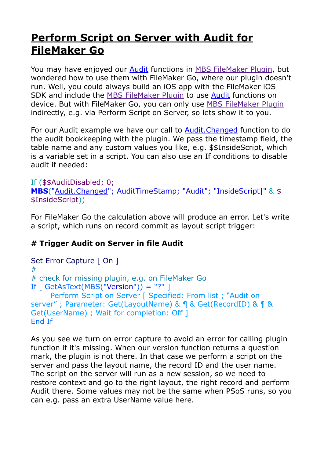## **[Perform Script on Server with Audit for](https://www.mbs-plugins.com/archive/2020-08-18/Perform_Script_on_Server_with_/monkeybreadsoftware_blog_filemaker)  [FileMaker Go](https://www.mbs-plugins.com/archive/2020-08-18/Perform_Script_on_Server_with_/monkeybreadsoftware_blog_filemaker)**

You may have enjoyed our [Audit](https://www.mbsplugins.eu/component_Audit.shtml) functions in [MBS FileMaker Plugin](https://www.monkeybreadsoftware.com/filemaker/), but wondered how to use them with FileMaker Go, where our plugin doesn't run. Well, you could always build an iOS app with the FileMaker iOS SDK and include the [MBS FileMaker Plugin](https://www.monkeybreadsoftware.com/filemaker/) to use [Audit](https://www.mbsplugins.eu/component_Audit.shtml) functions on device. But with FileMaker Go, you can only use [MBS FileMaker Plugin](https://www.monkeybreadsoftware.com/filemaker/) indirectly, e.g. via Perform Script on Server, so lets show it to you.

For our Audit example we have our call to [Audit.Changed](https://www.mbsplugins.eu/AuditChanged.shtml) function to do the audit bookkeeping with the plugin. We pass the timestamp field, the table name and any custom values you like, e.g. \$\$InsideScript, which is a variable set in a script. You can also use an If conditions to disable audit if needed:

```
If ($$AuditDisabled; 0; 
MBS("Audit.Changed"; AuditTimeStamp; "Audit"; "InsideScript|" & $
$InsideScript))
```
For FileMaker Go the calculation above will produce an error. Let's write a script, which runs on record commit as layout script trigger:

## **# Trigger Audit on Server in file Audit**

```
Set Error Capture [ On ]
# 
# check for missing plugin, e.g. on FileMaker Go 
If \lceil GetAsText(MBS("<u>Version</u>")) = "?" ]
      Perform Script on Server [ Specified: From list ; "Audit on 
server" ; Parameter: Get(LayoutName) & ¶ & Get(RecordID) & ¶ & 
Get(UserName) ; Wait for completion: Off ] 
End If
```
As you see we turn on error capture to avoid an error for calling plugin function if it's missing. When our version function returns a question mark, the plugin is not there. In that case we perform a script on the server and pass the layout name, the record ID and the user name. The script on the server will run as a new session, so we need to restore context and go to the right layout, the right record and perform Audit there. Some values may not be the same when PSoS runs, so you can e.g. pass an extra UserName value here.